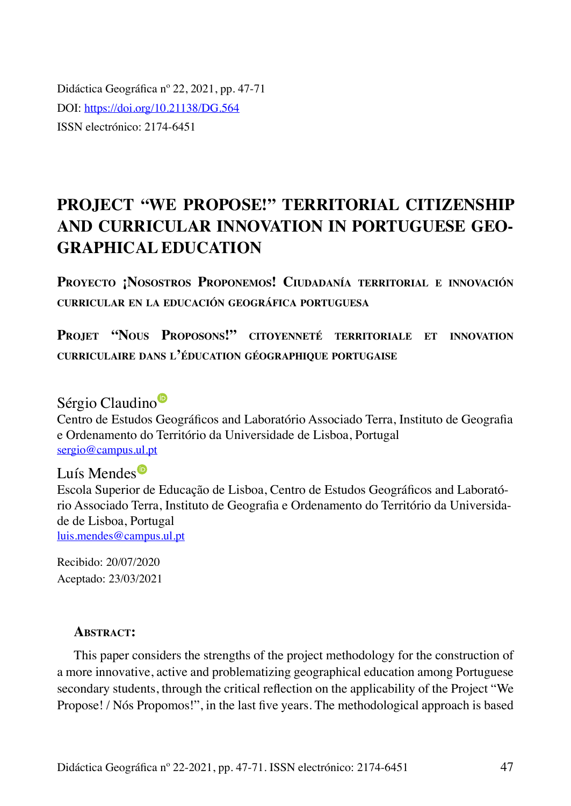Didáctica Geográfica nº 22, 2021, pp. 47-71 DOI:<https://doi.org/10.21138/DG.564> ISSN electrónico: 2174-6451

# **PROJECT "WE PROPOSE!" TERRITORIAL CITIZENSHIP AND CURRICULAR INNOVATION IN PORTUGUESE GEO-GRAPHICAL EDUCATION**

**Proyecto ¡Nosostros Proponemos! Ciudadanía territorial <sup>e</sup> innovación curricular en la educación geográfica portuguesa**

**Projet "Nous Proposons!" citoyenneté territoriale et innovation curriculaire dans l'éducation géographique portugaise**

Sérgi[o](
https://orcid.org/0000-0001-6987-4812
) Claudino<sup>®</sup>

Centro de Estudos Geográficos and Laboratório Associado Terra, Instituto de Geografia e Ordenamento do Território da Universidade de Lisboa, Portugal [sergio@campus.ul.pt](mailto:sergio@campus.ul.pt)

# Luí[s](https://orcid.org/0000-0001-5281-4207) Mendes<sup>®</sup>

Escola Superior de Educação de Lisboa, Centro de Estudos Geográficos and Laboratório Associado Terra, Instituto de Geografia e Ordenamento do Território da Universidade de Lisboa, Portugal [luis.mendes@campus.ul.pt](mailto:luis.mendes@campus.ul.pt)

Recibido: 20/07/2020 Aceptado: 23/03/2021

#### ABSTRACT:

This paper considers the strengths of the project methodology for the construction of a more innovative, active and problematizing geographical education among Portuguese secondary students, through the critical reflection on the applicability of the Project "We Propose! / Nós Propomos!", in the last five years. The methodological approach is based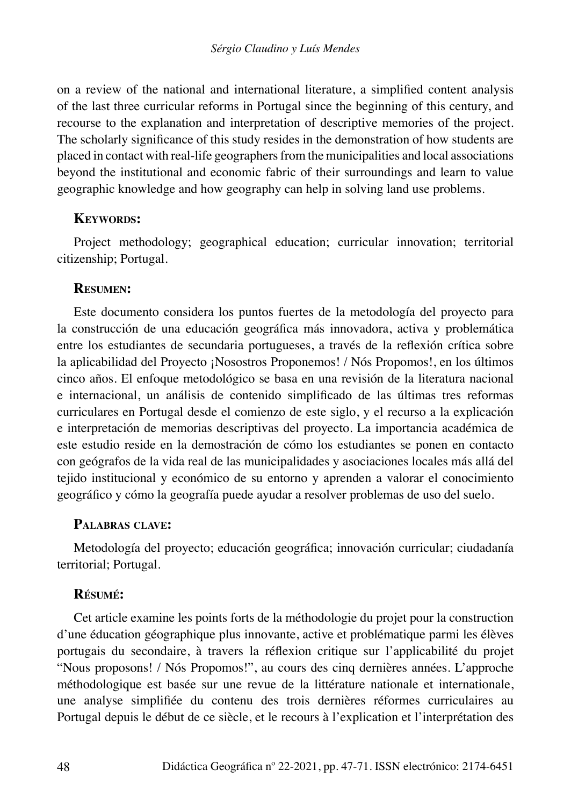on a review of the national and international literature, a simplified content analysis of the last three curricular reforms in Portugal since the beginning of this century, and recourse to the explanation and interpretation of descriptive memories of the project. The scholarly significance of this study resides in the demonstration of how students are placed in contact with real-life geographers from the municipalities and local associations beyond the institutional and economic fabric of their surroundings and learn to value geographic knowledge and how geography can help in solving land use problems.

#### **Keywords:**

Project methodology; geographical education; curricular innovation; territorial citizenship; Portugal.

#### **Resumen:**

Este documento considera los puntos fuertes de la metodología del proyecto para la construcción de una educación geográfica más innovadora, activa y problemática entre los estudiantes de secundaria portugueses, a través de la reflexión crítica sobre la aplicabilidad del Proyecto ¡Nosostros Proponemos! / Nós Propomos!, en los últimos cinco años. El enfoque metodológico se basa en una revisión de la literatura nacional e internacional, un análisis de contenido simplificado de las últimas tres reformas curriculares en Portugal desde el comienzo de este siglo, y el recurso a la explicación e interpretación de memorias descriptivas del proyecto. La importancia académica de este estudio reside en la demostración de cómo los estudiantes se ponen en contacto con geógrafos de la vida real de las municipalidades y asociaciones locales más allá del tejido institucional y económico de su entorno y aprenden a valorar el conocimiento geográfico y cómo la geografía puede ayudar a resolver problemas de uso del suelo.

#### **Palabras clave:**

Metodología del proyecto; educación geográfica; innovación curricular; ciudadanía territorial; Portugal.

#### **Résumé:**

Cet article examine les points forts de la méthodologie du projet pour la construction d'une éducation géographique plus innovante, active et problématique parmi les élèves portugais du secondaire, à travers la réflexion critique sur l'applicabilité du projet "Nous proposons! / Nós Propomos!", au cours des cinq dernières années. L'approche méthodologique est basée sur une revue de la littérature nationale et internationale, une analyse simplifiée du contenu des trois dernières réformes curriculaires au Portugal depuis le début de ce siècle, et le recours à l'explication et l'interprétation des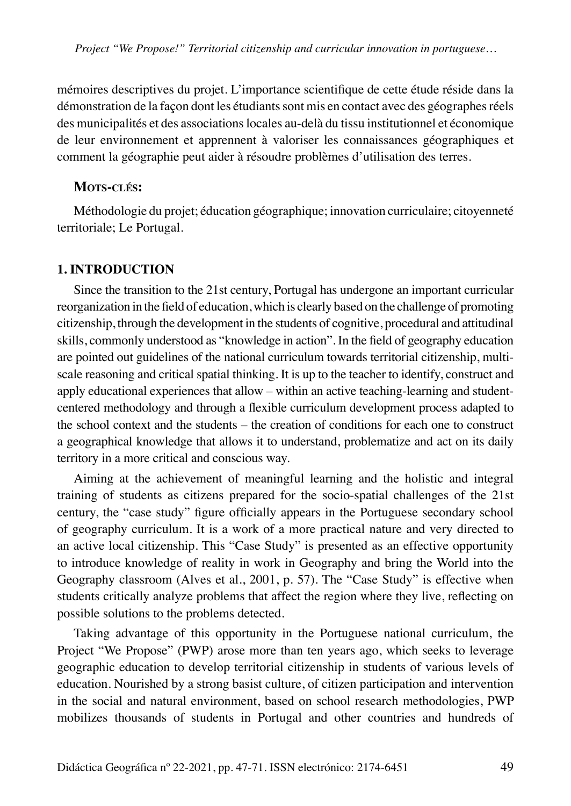mémoires descriptives du projet. L'importance scientifique de cette étude réside dans la démonstration de la façon dont les étudiants sont mis en contact avec des géographes réels des municipalités et des associations locales au-delà du tissu institutionnel et économique de leur environnement et apprennent à valoriser les connaissances géographiques et comment la géographie peut aider à résoudre problèmes d'utilisation des terres.

#### **Mots-clés:**

Méthodologie du projet; éducation géographique; innovation curriculaire; citoyenneté territoriale; Le Portugal.

#### **1. INTRODUCTION**

Since the transition to the 21st century, Portugal has undergone an important curricular reorganization in the field of education, which is clearly based on the challenge of promoting citizenship, through the development in the students of cognitive, procedural and attitudinal skills, commonly understood as "knowledge in action". In the field of geography education are pointed out guidelines of the national curriculum towards territorial citizenship, multiscale reasoning and critical spatial thinking. It is up to the teacher to identify, construct and apply educational experiences that allow – within an active teaching-learning and studentcentered methodology and through a flexible curriculum development process adapted to the school context and the students – the creation of conditions for each one to construct a geographical knowledge that allows it to understand, problematize and act on its daily territory in a more critical and conscious way.

Aiming at the achievement of meaningful learning and the holistic and integral training of students as citizens prepared for the socio-spatial challenges of the 21st century, the "case study" figure officially appears in the Portuguese secondary school of geography curriculum. It is a work of a more practical nature and very directed to an active local citizenship. This "Case Study" is presented as an effective opportunity to introduce knowledge of reality in work in Geography and bring the World into the Geography classroom (Alves et al., 2001, p. 57). The "Case Study" is effective when students critically analyze problems that affect the region where they live, reflecting on possible solutions to the problems detected.

Taking advantage of this opportunity in the Portuguese national curriculum, the Project "We Propose" (PWP) arose more than ten years ago, which seeks to leverage geographic education to develop territorial citizenship in students of various levels of education. Nourished by a strong basist culture, of citizen participation and intervention in the social and natural environment, based on school research methodologies, PWP mobilizes thousands of students in Portugal and other countries and hundreds of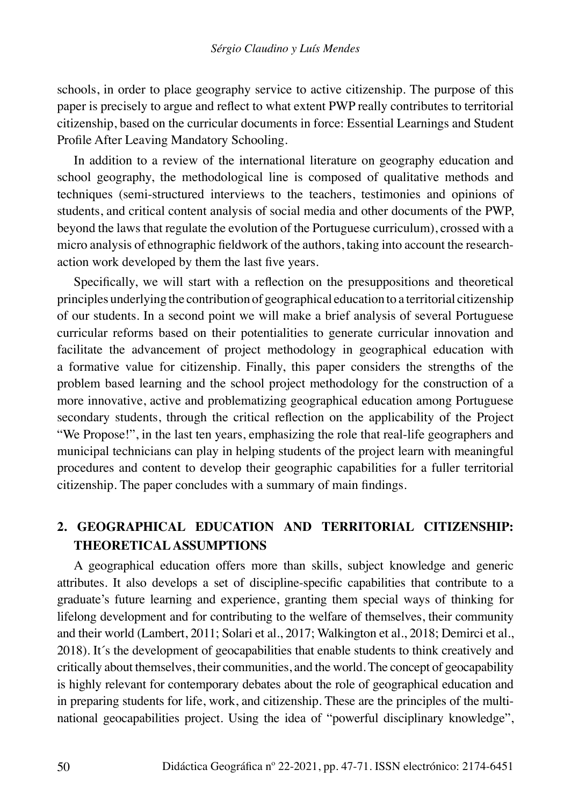schools, in order to place geography service to active citizenship. The purpose of this paper is precisely to argue and reflect to what extent PWP really contributes to territorial citizenship, based on the curricular documents in force: Essential Learnings and Student Profile After Leaving Mandatory Schooling.

In addition to a review of the international literature on geography education and school geography, the methodological line is composed of qualitative methods and techniques (semi-structured interviews to the teachers, testimonies and opinions of students, and critical content analysis of social media and other documents of the PWP, beyond the laws that regulate the evolution of the Portuguese curriculum), crossed with a micro analysis of ethnographic fieldwork of the authors, taking into account the researchaction work developed by them the last five years.

Specifically, we will start with a reflection on the presuppositions and theoretical principles underlying the contribution of geographical education to a territorial citizenship of our students. In a second point we will make a brief analysis of several Portuguese curricular reforms based on their potentialities to generate curricular innovation and facilitate the advancement of project methodology in geographical education with a formative value for citizenship. Finally, this paper considers the strengths of the problem based learning and the school project methodology for the construction of a more innovative, active and problematizing geographical education among Portuguese secondary students, through the critical reflection on the applicability of the Project "We Propose!", in the last ten years, emphasizing the role that real-life geographers and municipal technicians can play in helping students of the project learn with meaningful procedures and content to develop their geographic capabilities for a fuller territorial citizenship. The paper concludes with a summary of main findings.

### **2. GEOGRAPHICAL EDUCATION AND TERRITORIAL CITIZENSHIP: THEORETICAL ASSUMPTIONS**

A geographical education offers more than skills, subject knowledge and generic attributes. It also develops a set of discipline-specific capabilities that contribute to a graduate's future learning and experience, granting them special ways of thinking for lifelong development and for contributing to the welfare of themselves, their community and their world (Lambert, 2011; Solari et al., 2017; Walkington et al., 2018; Demirci et al., 2018). It´s the development of geocapabilities that enable students to think creatively and critically about themselves, their communities, and the world. The concept of geocapability is highly relevant for contemporary debates about the role of geographical education and in preparing students for life, work, and citizenship. These are the principles of the multinational geocapabilities project. Using the idea of "powerful disciplinary knowledge",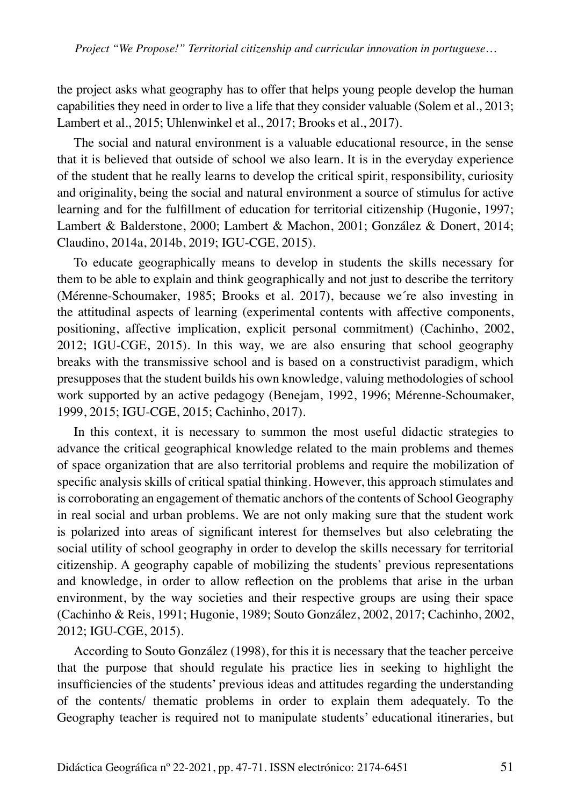the project asks what geography has to offer that helps young people develop the human capabilities they need in order to live a life that they consider valuable (Solem et al., 2013; Lambert et al., 2015; Uhlenwinkel et al., 2017; Brooks et al., 2017).

The social and natural environment is a valuable educational resource, in the sense that it is believed that outside of school we also learn. It is in the everyday experience of the student that he really learns to develop the critical spirit, responsibility, curiosity and originality, being the social and natural environment a source of stimulus for active learning and for the fulfillment of education for territorial citizenship (Hugonie, 1997; Lambert & Balderstone, 2000; Lambert & Machon, 2001; González & Donert, 2014; Claudino, 2014a, 2014b, 2019; IGU-CGE, 2015).

To educate geographically means to develop in students the skills necessary for them to be able to explain and think geographically and not just to describe the territory (Mérenne-Schoumaker, 1985; Brooks et al. 2017), because we´re also investing in the attitudinal aspects of learning (experimental contents with affective components, positioning, affective implication, explicit personal commitment) (Cachinho, 2002, 2012; IGU-CGE, 2015). In this way, we are also ensuring that school geography breaks with the transmissive school and is based on a constructivist paradigm, which presupposes that the student builds his own knowledge, valuing methodologies of school work supported by an active pedagogy (Benejam, 1992, 1996; Mérenne-Schoumaker, 1999, 2015; IGU-CGE, 2015; Cachinho, 2017).

In this context, it is necessary to summon the most useful didactic strategies to advance the critical geographical knowledge related to the main problems and themes of space organization that are also territorial problems and require the mobilization of specific analysis skills of critical spatial thinking. However, this approach stimulates and is corroborating an engagement of thematic anchors of the contents of School Geography in real social and urban problems. We are not only making sure that the student work is polarized into areas of significant interest for themselves but also celebrating the social utility of school geography in order to develop the skills necessary for territorial citizenship. A geography capable of mobilizing the students' previous representations and knowledge, in order to allow reflection on the problems that arise in the urban environment, by the way societies and their respective groups are using their space (Cachinho & Reis, 1991; Hugonie, 1989; Souto González, 2002, 2017; Cachinho, 2002, 2012; IGU-CGE, 2015).

According to Souto González (1998), for this it is necessary that the teacher perceive that the purpose that should regulate his practice lies in seeking to highlight the insufficiencies of the students' previous ideas and attitudes regarding the understanding of the contents/ thematic problems in order to explain them adequately. To the Geography teacher is required not to manipulate students' educational itineraries, but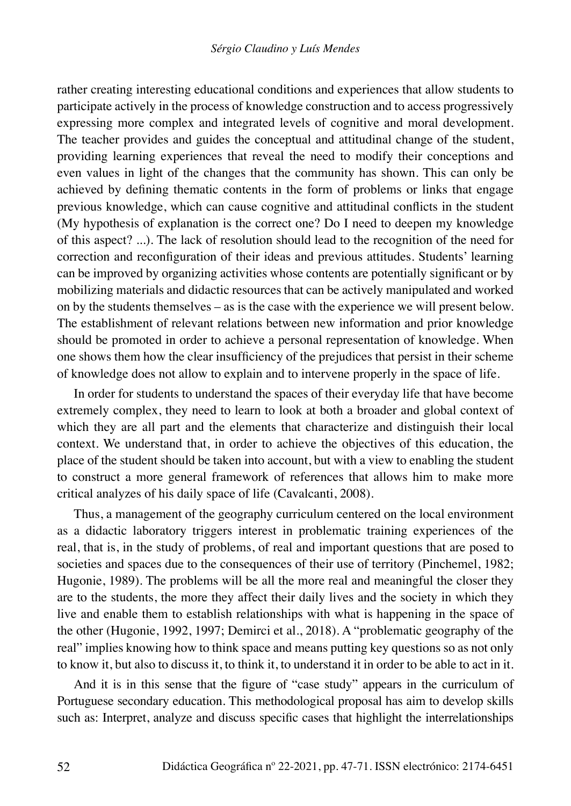rather creating interesting educational conditions and experiences that allow students to participate actively in the process of knowledge construction and to access progressively expressing more complex and integrated levels of cognitive and moral development. The teacher provides and guides the conceptual and attitudinal change of the student, providing learning experiences that reveal the need to modify their conceptions and even values in light of the changes that the community has shown. This can only be achieved by defining thematic contents in the form of problems or links that engage previous knowledge, which can cause cognitive and attitudinal conflicts in the student (My hypothesis of explanation is the correct one? Do I need to deepen my knowledge of this aspect? ...). The lack of resolution should lead to the recognition of the need for correction and reconfiguration of their ideas and previous attitudes. Students' learning can be improved by organizing activities whose contents are potentially significant or by mobilizing materials and didactic resources that can be actively manipulated and worked on by the students themselves – as is the case with the experience we will present below. The establishment of relevant relations between new information and prior knowledge should be promoted in order to achieve a personal representation of knowledge. When one shows them how the clear insufficiency of the prejudices that persist in their scheme of knowledge does not allow to explain and to intervene properly in the space of life.

In order for students to understand the spaces of their everyday life that have become extremely complex, they need to learn to look at both a broader and global context of which they are all part and the elements that characterize and distinguish their local context. We understand that, in order to achieve the objectives of this education, the place of the student should be taken into account, but with a view to enabling the student to construct a more general framework of references that allows him to make more critical analyzes of his daily space of life (Cavalcanti, 2008).

Thus, a management of the geography curriculum centered on the local environment as a didactic laboratory triggers interest in problematic training experiences of the real, that is, in the study of problems, of real and important questions that are posed to societies and spaces due to the consequences of their use of territory (Pinchemel, 1982; Hugonie, 1989). The problems will be all the more real and meaningful the closer they are to the students, the more they affect their daily lives and the society in which they live and enable them to establish relationships with what is happening in the space of the other (Hugonie, 1992, 1997; Demirci et al., 2018). A "problematic geography of the real" implies knowing how to think space and means putting key questions so as not only to know it, but also to discuss it, to think it, to understand it in order to be able to act in it.

And it is in this sense that the figure of "case study" appears in the curriculum of Portuguese secondary education. This methodological proposal has aim to develop skills such as: Interpret, analyze and discuss specific cases that highlight the interrelationships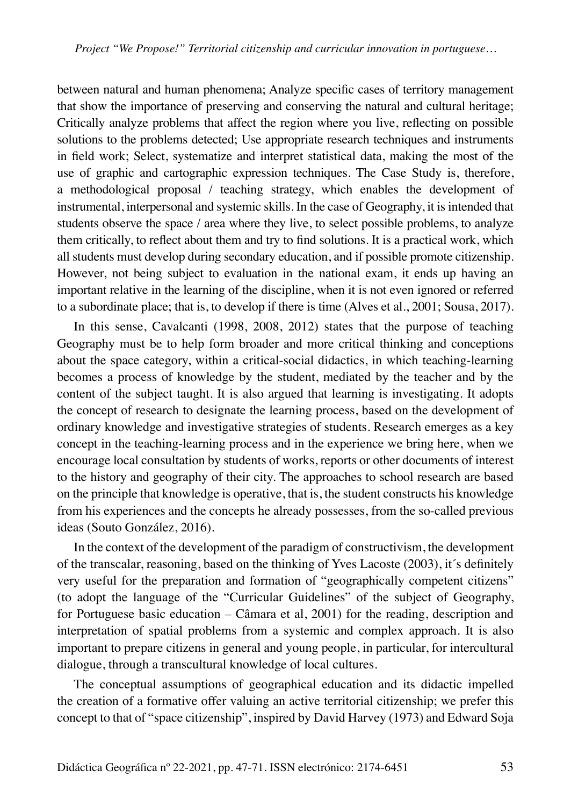between natural and human phenomena; Analyze specific cases of territory management that show the importance of preserving and conserving the natural and cultural heritage; Critically analyze problems that affect the region where you live, reflecting on possible solutions to the problems detected; Use appropriate research techniques and instruments in field work; Select, systematize and interpret statistical data, making the most of the use of graphic and cartographic expression techniques. The Case Study is, therefore, a methodological proposal / teaching strategy, which enables the development of instrumental, interpersonal and systemic skills. In the case of Geography, it is intended that students observe the space / area where they live, to select possible problems, to analyze them critically, to reflect about them and try to find solutions. It is a practical work, which all students must develop during secondary education, and if possible promote citizenship. However, not being subject to evaluation in the national exam, it ends up having an important relative in the learning of the discipline, when it is not even ignored or referred to a subordinate place; that is, to develop if there is time (Alves et al., 2001; Sousa, 2017).

In this sense, Cavalcanti (1998, 2008, 2012) states that the purpose of teaching Geography must be to help form broader and more critical thinking and conceptions about the space category, within a critical-social didactics, in which teaching-learning becomes a process of knowledge by the student, mediated by the teacher and by the content of the subject taught. It is also argued that learning is investigating. It adopts the concept of research to designate the learning process, based on the development of ordinary knowledge and investigative strategies of students. Research emerges as a key concept in the teaching-learning process and in the experience we bring here, when we encourage local consultation by students of works, reports or other documents of interest to the history and geography of their city. The approaches to school research are based on the principle that knowledge is operative, that is, the student constructs his knowledge from his experiences and the concepts he already possesses, from the so-called previous ideas (Souto González, 2016).

In the context of the development of the paradigm of constructivism, the development of the transcalar, reasoning, based on the thinking of Yves Lacoste (2003), it´s definitely very useful for the preparation and formation of "geographically competent citizens" (to adopt the language of the "Curricular Guidelines" of the subject of Geography, for Portuguese basic education – Câmara et al, 2001) for the reading, description and interpretation of spatial problems from a systemic and complex approach. It is also important to prepare citizens in general and young people, in particular, for intercultural dialogue, through a transcultural knowledge of local cultures.

The conceptual assumptions of geographical education and its didactic impelled the creation of a formative offer valuing an active territorial citizenship; we prefer this concept to that of "space citizenship", inspired by David Harvey (1973) and Edward Soja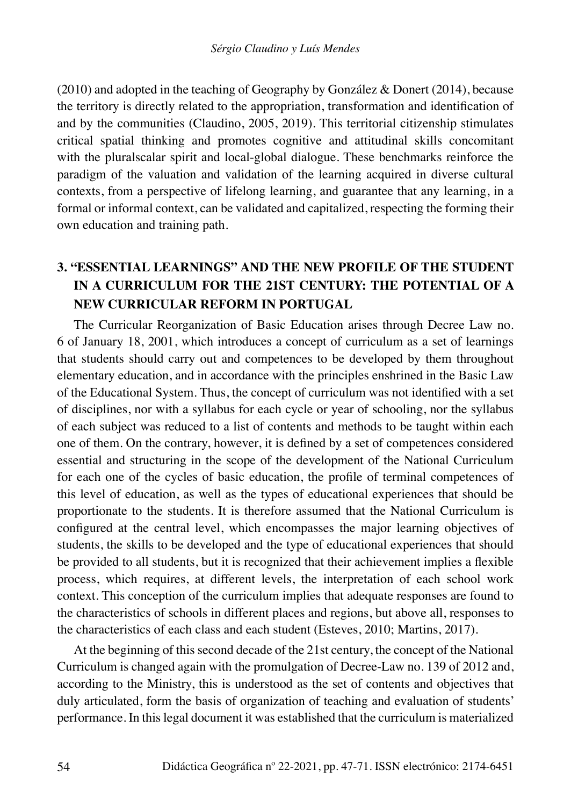(2010) and adopted in the teaching of Geography by González & Donert (2014), because the territory is directly related to the appropriation, transformation and identification of and by the communities (Claudino, 2005, 2019). This territorial citizenship stimulates critical spatial thinking and promotes cognitive and attitudinal skills concomitant with the pluralscalar spirit and local-global dialogue. These benchmarks reinforce the paradigm of the valuation and validation of the learning acquired in diverse cultural contexts, from a perspective of lifelong learning, and guarantee that any learning, in a formal or informal context, can be validated and capitalized, respecting the forming their own education and training path.

# **3. "ESSENTIAL LEARNINGS" AND THE NEW PROFILE OF THE STUDENT IN A CURRICULUM FOR THE 21ST CENTURY: THE POTENTIAL OF A NEW CURRICULAR REFORM IN PORTUGAL**

The Curricular Reorganization of Basic Education arises through Decree Law no. 6 of January 18, 2001, which introduces a concept of curriculum as a set of learnings that students should carry out and competences to be developed by them throughout elementary education, and in accordance with the principles enshrined in the Basic Law of the Educational System. Thus, the concept of curriculum was not identified with a set of disciplines, nor with a syllabus for each cycle or year of schooling, nor the syllabus of each subject was reduced to a list of contents and methods to be taught within each one of them. On the contrary, however, it is defined by a set of competences considered essential and structuring in the scope of the development of the National Curriculum for each one of the cycles of basic education, the profile of terminal competences of this level of education, as well as the types of educational experiences that should be proportionate to the students. It is therefore assumed that the National Curriculum is configured at the central level, which encompasses the major learning objectives of students, the skills to be developed and the type of educational experiences that should be provided to all students, but it is recognized that their achievement implies a flexible process, which requires, at different levels, the interpretation of each school work context. This conception of the curriculum implies that adequate responses are found to the characteristics of schools in different places and regions, but above all, responses to the characteristics of each class and each student (Esteves, 2010; Martins, 2017).

At the beginning of this second decade of the 21st century, the concept of the National Curriculum is changed again with the promulgation of Decree-Law no. 139 of 2012 and, according to the Ministry, this is understood as the set of contents and objectives that duly articulated, form the basis of organization of teaching and evaluation of students' performance. In this legal document it was established that the curriculum is materialized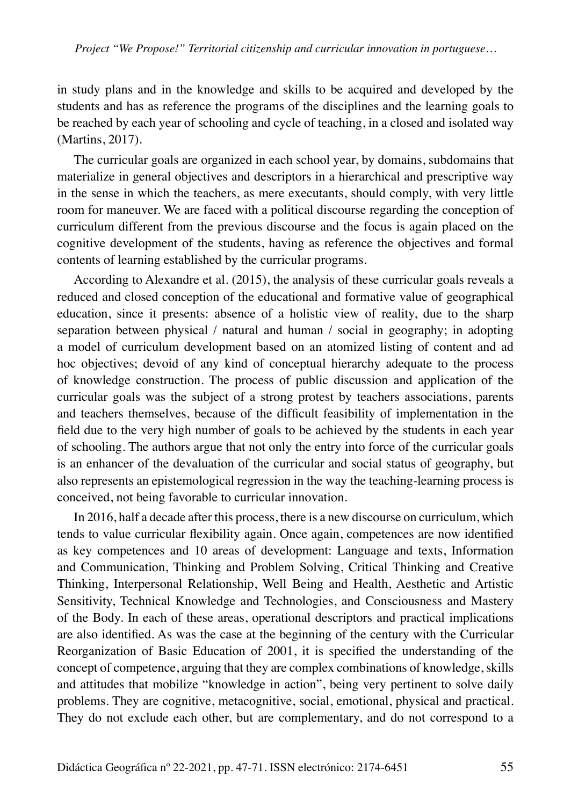in study plans and in the knowledge and skills to be acquired and developed by the students and has as reference the programs of the disciplines and the learning goals to be reached by each year of schooling and cycle of teaching, in a closed and isolated way (Martins, 2017).

The curricular goals are organized in each school year, by domains, subdomains that materialize in general objectives and descriptors in a hierarchical and prescriptive way in the sense in which the teachers, as mere executants, should comply, with very little room for maneuver. We are faced with a political discourse regarding the conception of curriculum different from the previous discourse and the focus is again placed on the cognitive development of the students, having as reference the objectives and formal contents of learning established by the curricular programs.

According to Alexandre et al. (2015), the analysis of these curricular goals reveals a reduced and closed conception of the educational and formative value of geographical education, since it presents: absence of a holistic view of reality, due to the sharp separation between physical / natural and human / social in geography; in adopting a model of curriculum development based on an atomized listing of content and ad hoc objectives; devoid of any kind of conceptual hierarchy adequate to the process of knowledge construction. The process of public discussion and application of the curricular goals was the subject of a strong protest by teachers associations, parents and teachers themselves, because of the difficult feasibility of implementation in the field due to the very high number of goals to be achieved by the students in each year of schooling. The authors argue that not only the entry into force of the curricular goals is an enhancer of the devaluation of the curricular and social status of geography, but also represents an epistemological regression in the way the teaching-learning process is conceived, not being favorable to curricular innovation.

In 2016, half a decade after this process, there is a new discourse on curriculum, which tends to value curricular flexibility again. Once again, competences are now identified as key competences and 10 areas of development: Language and texts, Information and Communication, Thinking and Problem Solving, Critical Thinking and Creative Thinking, Interpersonal Relationship, Well Being and Health, Aesthetic and Artistic Sensitivity, Technical Knowledge and Technologies, and Consciousness and Mastery of the Body. In each of these areas, operational descriptors and practical implications are also identified. As was the case at the beginning of the century with the Curricular Reorganization of Basic Education of 2001, it is specified the understanding of the concept of competence, arguing that they are complex combinations of knowledge, skills and attitudes that mobilize "knowledge in action", being very pertinent to solve daily problems. They are cognitive, metacognitive, social, emotional, physical and practical. They do not exclude each other, but are complementary, and do not correspond to a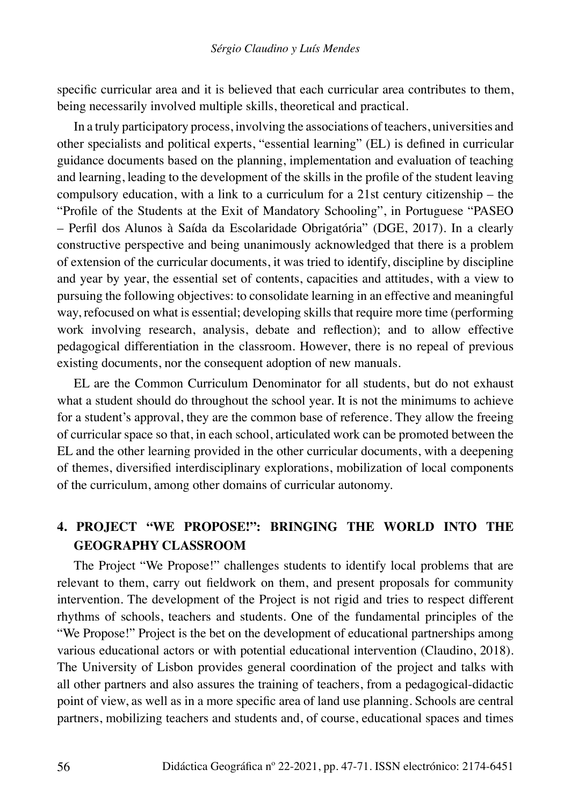specific curricular area and it is believed that each curricular area contributes to them, being necessarily involved multiple skills, theoretical and practical.

In a truly participatory process, involving the associations of teachers, universities and other specialists and political experts, "essential learning" (EL) is defined in curricular guidance documents based on the planning, implementation and evaluation of teaching and learning, leading to the development of the skills in the profile of the student leaving compulsory education, with a link to a curriculum for a 21st century citizenship – the "Profile of the Students at the Exit of Mandatory Schooling", in Portuguese "PASEO – Perfil dos Alunos à Saída da Escolaridade Obrigatória" (DGE, 2017). In a clearly constructive perspective and being unanimously acknowledged that there is a problem of extension of the curricular documents, it was tried to identify, discipline by discipline and year by year, the essential set of contents, capacities and attitudes, with a view to pursuing the following objectives: to consolidate learning in an effective and meaningful way, refocused on what is essential; developing skills that require more time (performing work involving research, analysis, debate and reflection); and to allow effective pedagogical differentiation in the classroom. However, there is no repeal of previous existing documents, nor the consequent adoption of new manuals.

EL are the Common Curriculum Denominator for all students, but do not exhaust what a student should do throughout the school year. It is not the minimums to achieve for a student's approval, they are the common base of reference. They allow the freeing of curricular space so that, in each school, articulated work can be promoted between the EL and the other learning provided in the other curricular documents, with a deepening of themes, diversified interdisciplinary explorations, mobilization of local components of the curriculum, among other domains of curricular autonomy.

# **4. PROJECT "WE PROPOSE!": BRINGING THE WORLD INTO THE GEOGRAPHY CLASSROOM**

The Project "We Propose!" challenges students to identify local problems that are relevant to them, carry out fieldwork on them, and present proposals for community intervention. The development of the Project is not rigid and tries to respect different rhythms of schools, teachers and students. One of the fundamental principles of the "We Propose!" Project is the bet on the development of educational partnerships among various educational actors or with potential educational intervention (Claudino, 2018). The University of Lisbon provides general coordination of the project and talks with all other partners and also assures the training of teachers, from a pedagogical-didactic point of view, as well as in a more specific area of land use planning. Schools are central partners, mobilizing teachers and students and, of course, educational spaces and times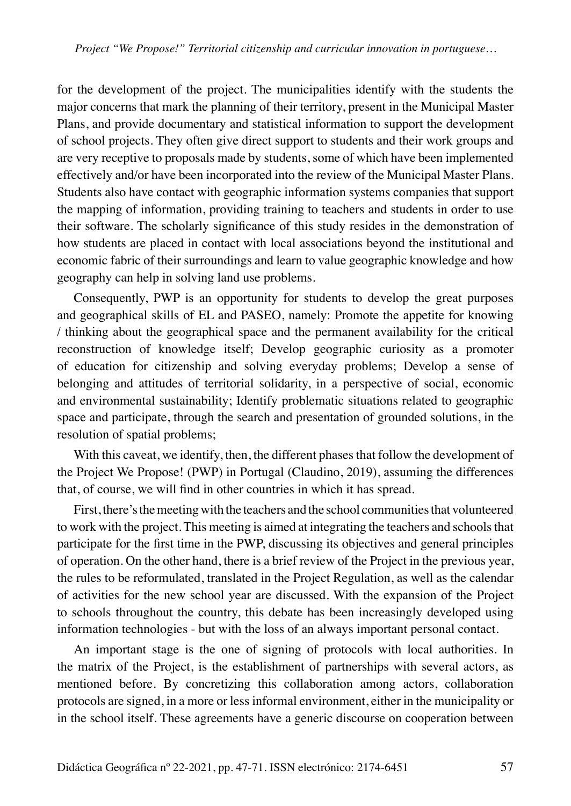for the development of the project. The municipalities identify with the students the major concerns that mark the planning of their territory, present in the Municipal Master Plans, and provide documentary and statistical information to support the development of school projects. They often give direct support to students and their work groups and are very receptive to proposals made by students, some of which have been implemented effectively and/or have been incorporated into the review of the Municipal Master Plans. Students also have contact with geographic information systems companies that support the mapping of information, providing training to teachers and students in order to use their software. The scholarly significance of this study resides in the demonstration of how students are placed in contact with local associations beyond the institutional and economic fabric of their surroundings and learn to value geographic knowledge and how geography can help in solving land use problems.

Consequently, PWP is an opportunity for students to develop the great purposes and geographical skills of EL and PASEO, namely: Promote the appetite for knowing / thinking about the geographical space and the permanent availability for the critical reconstruction of knowledge itself; Develop geographic curiosity as a promoter of education for citizenship and solving everyday problems; Develop a sense of belonging and attitudes of territorial solidarity, in a perspective of social, economic and environmental sustainability; Identify problematic situations related to geographic space and participate, through the search and presentation of grounded solutions, in the resolution of spatial problems;

With this caveat, we identify, then, the different phases that follow the development of the Project We Propose! (PWP) in Portugal (Claudino, 2019), assuming the differences that, of course, we will find in other countries in which it has spread.

First, there's the meeting with the teachers and the school communities that volunteered to work with the project. This meeting is aimed at integrating the teachers and schools that participate for the first time in the PWP, discussing its objectives and general principles of operation. On the other hand, there is a brief review of the Project in the previous year, the rules to be reformulated, translated in the Project Regulation, as well as the calendar of activities for the new school year are discussed. With the expansion of the Project to schools throughout the country, this debate has been increasingly developed using information technologies - but with the loss of an always important personal contact.

An important stage is the one of signing of protocols with local authorities. In the matrix of the Project, is the establishment of partnerships with several actors, as mentioned before. By concretizing this collaboration among actors, collaboration protocols are signed, in a more or less informal environment, either in the municipality or in the school itself. These agreements have a generic discourse on cooperation between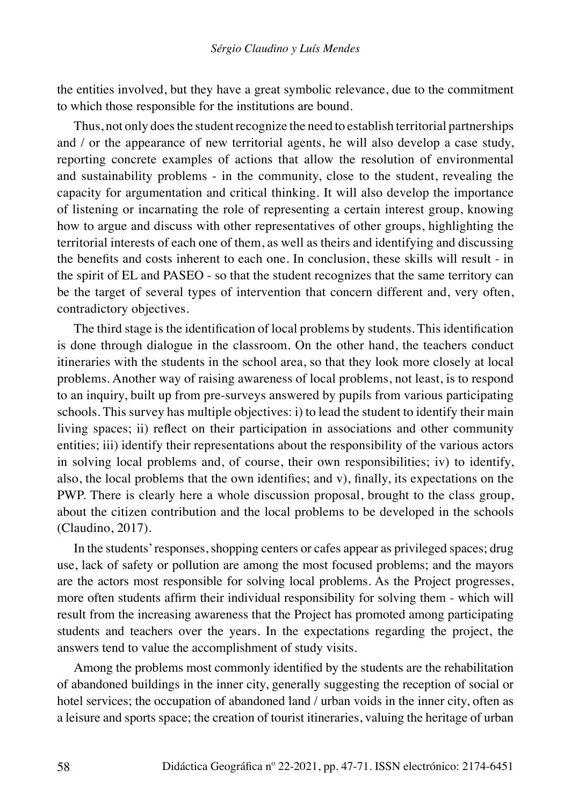the entities involved, but they have a great symbolic relevance, due to the commitment to which those responsible for the institutions are bound.

Thus, not only does the student recognize the need to establish territorial partnerships and / or the appearance of new territorial agents, he will also develop a case study, reporting concrete examples of actions that allow the resolution of environmental and sustainability problems - in the community, close to the student, revealing the capacity for argumentation and critical thinking. It will also develop the importance of listening or incarnating the role of representing a certain interest group, knowing how to argue and discuss with other representatives of other groups, highlighting the territorial interests of each one of them, as well as theirs and identifying and discussing the benefits and costs inherent to each one. In conclusion, these skills will result - in the spirit of EL and PASEO - so that the student recognizes that the same territory can be the target of several types of intervention that concern different and, very often, contradictory objectives.

The third stage is the identification of local problems by students. This identification is done through dialogue in the classroom. On the other hand, the teachers conduct itineraries with the students in the school area, so that they look more closely at local problems. Another way of raising awareness of local problems, not least, is to respond to an inquiry, built up from pre-surveys answered by pupils from various participating schools. This survey has multiple objectives: i) to lead the student to identify their main living spaces; ii) reflect on their participation in associations and other community entities; iii) identify their representations about the responsibility of the various actors in solving local problems and, of course, their own responsibilities; iv) to identify, also, the local problems that the own identifies; and v), finally, its expectations on the PWP. There is clearly here a whole discussion proposal, brought to the class group, about the citizen contribution and the local problems to be developed in the schools (Claudino, 2017).

In the students' responses, shopping centers or cafes appear as privileged spaces; drug use, lack of safety or pollution are among the most focused problems; and the mayors are the actors most responsible for solving local problems. As the Project progresses, more often students affirm their individual responsibility for solving them - which will result from the increasing awareness that the Project has promoted among participating students and teachers over the years. In the expectations regarding the project, the answers tend to value the accomplishment of study visits.

Among the problems most commonly identified by the students are the rehabilitation of abandoned buildings in the inner city, generally suggesting the reception of social or hotel services; the occupation of abandoned land / urban voids in the inner city, often as a leisure and sports space; the creation of tourist itineraries, valuing the heritage of urban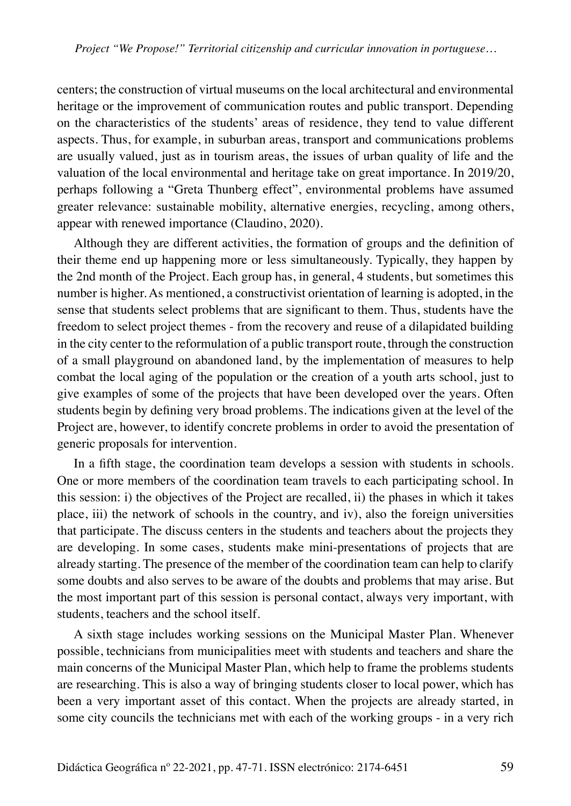centers; the construction of virtual museums on the local architectural and environmental heritage or the improvement of communication routes and public transport. Depending on the characteristics of the students' areas of residence, they tend to value different aspects. Thus, for example, in suburban areas, transport and communications problems are usually valued, just as in tourism areas, the issues of urban quality of life and the valuation of the local environmental and heritage take on great importance. In 2019/20, perhaps following a "Greta Thunberg effect", environmental problems have assumed greater relevance: sustainable mobility, alternative energies, recycling, among others, appear with renewed importance (Claudino, 2020).

Although they are different activities, the formation of groups and the definition of their theme end up happening more or less simultaneously. Typically, they happen by the 2nd month of the Project. Each group has, in general, 4 students, but sometimes this number is higher. As mentioned, a constructivist orientation of learning is adopted, in the sense that students select problems that are significant to them. Thus, students have the freedom to select project themes - from the recovery and reuse of a dilapidated building in the city center to the reformulation of a public transport route, through the construction of a small playground on abandoned land, by the implementation of measures to help combat the local aging of the population or the creation of a youth arts school, just to give examples of some of the projects that have been developed over the years. Often students begin by defining very broad problems. The indications given at the level of the Project are, however, to identify concrete problems in order to avoid the presentation of generic proposals for intervention.

In a fifth stage, the coordination team develops a session with students in schools. One or more members of the coordination team travels to each participating school. In this session: i) the objectives of the Project are recalled, ii) the phases in which it takes place, iii) the network of schools in the country, and iv), also the foreign universities that participate. The discuss centers in the students and teachers about the projects they are developing. In some cases, students make mini-presentations of projects that are already starting. The presence of the member of the coordination team can help to clarify some doubts and also serves to be aware of the doubts and problems that may arise. But the most important part of this session is personal contact, always very important, with students, teachers and the school itself.

A sixth stage includes working sessions on the Municipal Master Plan. Whenever possible, technicians from municipalities meet with students and teachers and share the main concerns of the Municipal Master Plan, which help to frame the problems students are researching. This is also a way of bringing students closer to local power, which has been a very important asset of this contact. When the projects are already started, in some city councils the technicians met with each of the working groups - in a very rich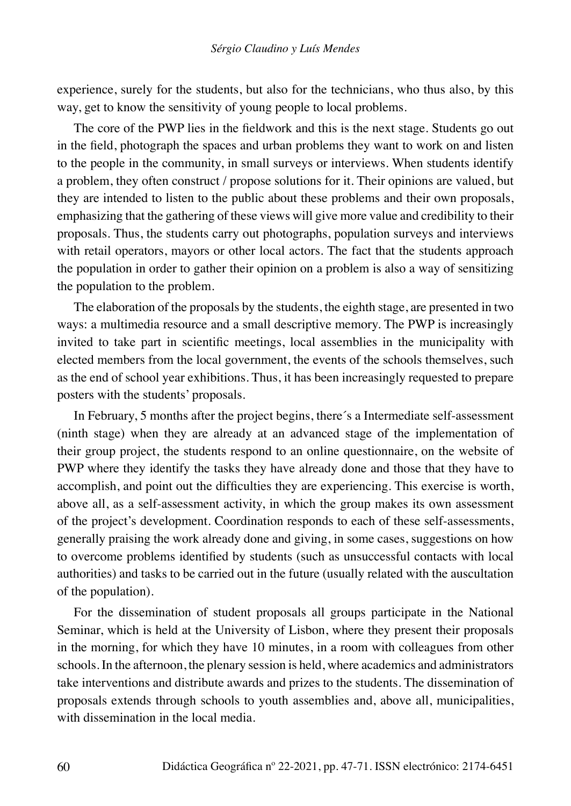experience, surely for the students, but also for the technicians, who thus also, by this way, get to know the sensitivity of young people to local problems.

The core of the PWP lies in the fieldwork and this is the next stage. Students go out in the field, photograph the spaces and urban problems they want to work on and listen to the people in the community, in small surveys or interviews. When students identify a problem, they often construct / propose solutions for it. Their opinions are valued, but they are intended to listen to the public about these problems and their own proposals, emphasizing that the gathering of these views will give more value and credibility to their proposals. Thus, the students carry out photographs, population surveys and interviews with retail operators, mayors or other local actors. The fact that the students approach the population in order to gather their opinion on a problem is also a way of sensitizing the population to the problem.

The elaboration of the proposals by the students, the eighth stage, are presented in two ways: a multimedia resource and a small descriptive memory. The PWP is increasingly invited to take part in scientific meetings, local assemblies in the municipality with elected members from the local government, the events of the schools themselves, such as the end of school year exhibitions. Thus, it has been increasingly requested to prepare posters with the students' proposals.

In February, 5 months after the project begins, there´s a Intermediate self-assessment (ninth stage) when they are already at an advanced stage of the implementation of their group project, the students respond to an online questionnaire, on the website of PWP where they identify the tasks they have already done and those that they have to accomplish, and point out the difficulties they are experiencing. This exercise is worth, above all, as a self-assessment activity, in which the group makes its own assessment of the project's development. Coordination responds to each of these self-assessments, generally praising the work already done and giving, in some cases, suggestions on how to overcome problems identified by students (such as unsuccessful contacts with local authorities) and tasks to be carried out in the future (usually related with the auscultation of the population).

For the dissemination of student proposals all groups participate in the National Seminar, which is held at the University of Lisbon, where they present their proposals in the morning, for which they have 10 minutes, in a room with colleagues from other schools. In the afternoon, the plenary session is held, where academics and administrators take interventions and distribute awards and prizes to the students. The dissemination of proposals extends through schools to youth assemblies and, above all, municipalities, with dissemination in the local media.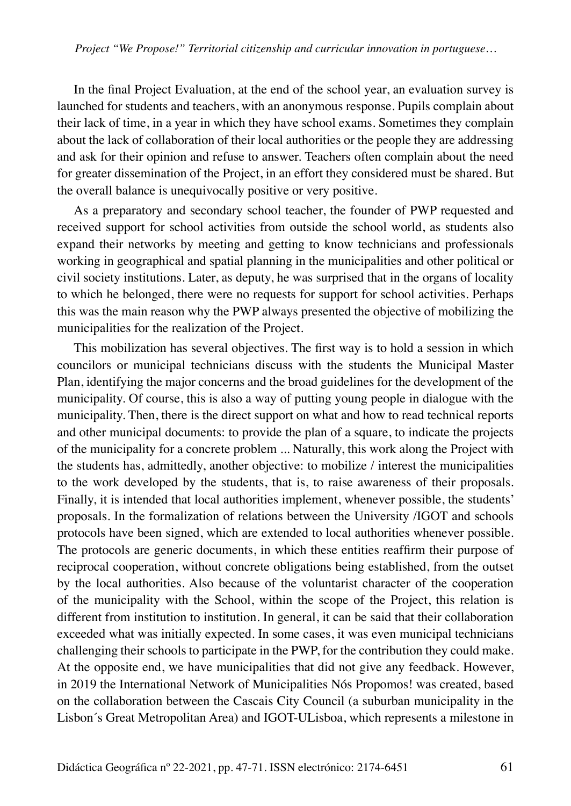In the final Project Evaluation, at the end of the school year, an evaluation survey is launched for students and teachers, with an anonymous response. Pupils complain about their lack of time, in a year in which they have school exams. Sometimes they complain about the lack of collaboration of their local authorities or the people they are addressing and ask for their opinion and refuse to answer. Teachers often complain about the need for greater dissemination of the Project, in an effort they considered must be shared. But the overall balance is unequivocally positive or very positive.

As a preparatory and secondary school teacher, the founder of PWP requested and received support for school activities from outside the school world, as students also expand their networks by meeting and getting to know technicians and professionals working in geographical and spatial planning in the municipalities and other political or civil society institutions. Later, as deputy, he was surprised that in the organs of locality to which he belonged, there were no requests for support for school activities. Perhaps this was the main reason why the PWP always presented the objective of mobilizing the municipalities for the realization of the Project.

This mobilization has several objectives. The first way is to hold a session in which councilors or municipal technicians discuss with the students the Municipal Master Plan, identifying the major concerns and the broad guidelines for the development of the municipality. Of course, this is also a way of putting young people in dialogue with the municipality. Then, there is the direct support on what and how to read technical reports and other municipal documents: to provide the plan of a square, to indicate the projects of the municipality for a concrete problem ... Naturally, this work along the Project with the students has, admittedly, another objective: to mobilize / interest the municipalities to the work developed by the students, that is, to raise awareness of their proposals. Finally, it is intended that local authorities implement, whenever possible, the students' proposals. In the formalization of relations between the University /IGOT and schools protocols have been signed, which are extended to local authorities whenever possible. The protocols are generic documents, in which these entities reaffirm their purpose of reciprocal cooperation, without concrete obligations being established, from the outset by the local authorities. Also because of the voluntarist character of the cooperation of the municipality with the School, within the scope of the Project, this relation is different from institution to institution. In general, it can be said that their collaboration exceeded what was initially expected. In some cases, it was even municipal technicians challenging their schools to participate in the PWP, for the contribution they could make. At the opposite end, we have municipalities that did not give any feedback. However, in 2019 the International Network of Municipalities Nós Propomos! was created, based on the collaboration between the Cascais City Council (a suburban municipality in the Lisbon´s Great Metropolitan Area) and IGOT-ULisboa, which represents a milestone in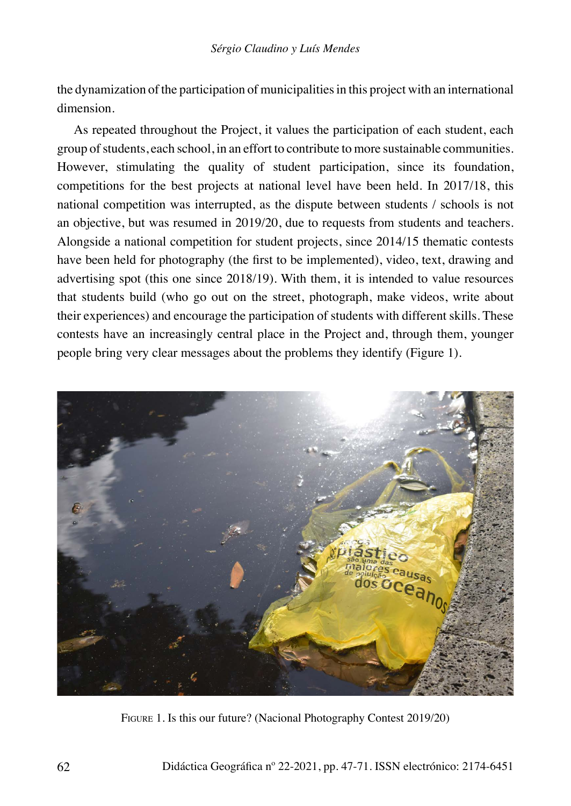the dynamization of the participation of municipalities in this project with an international dimension.

As repeated throughout the Project, it values the participation of each student, each group of students, each school, in an effort to contribute to more sustainable communities. However, stimulating the quality of student participation, since its foundation, competitions for the best projects at national level have been held. In 2017/18, this national competition was interrupted, as the dispute between students / schools is not an objective, but was resumed in 2019/20, due to requests from students and teachers. Alongside a national competition for student projects, since 2014/15 thematic contests have been held for photography (the first to be implemented), video, text, drawing and advertising spot (this one since 2018/19). With them, it is intended to value resources that students build (who go out on the street, photograph, make videos, write about their experiences) and encourage the participation of students with different skills. These contests have an increasingly central place in the Project and, through them, younger people bring very clear messages about the problems they identify (Figure 1).



Figure 1. Is this our future? (Nacional Photography Contest 2019/20)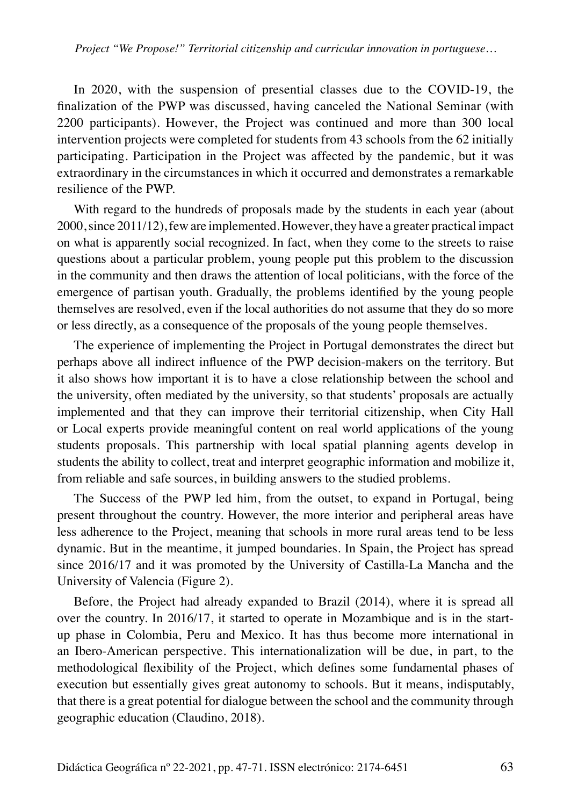In 2020, with the suspension of presential classes due to the COVID-19, the finalization of the PWP was discussed, having canceled the National Seminar (with 2200 participants). However, the Project was continued and more than 300 local intervention projects were completed for students from 43 schools from the 62 initially participating. Participation in the Project was affected by the pandemic, but it was extraordinary in the circumstances in which it occurred and demonstrates a remarkable resilience of the PWP.

With regard to the hundreds of proposals made by the students in each year (about 2000, since 2011/12), few are implemented. However, they have a greater practical impact on what is apparently social recognized. In fact, when they come to the streets to raise questions about a particular problem, young people put this problem to the discussion in the community and then draws the attention of local politicians, with the force of the emergence of partisan youth. Gradually, the problems identified by the young people themselves are resolved, even if the local authorities do not assume that they do so more or less directly, as a consequence of the proposals of the young people themselves.

The experience of implementing the Project in Portugal demonstrates the direct but perhaps above all indirect influence of the PWP decision-makers on the territory. But it also shows how important it is to have a close relationship between the school and the university, often mediated by the university, so that students' proposals are actually implemented and that they can improve their territorial citizenship, when City Hall or Local experts provide meaningful content on real world applications of the young students proposals. This partnership with local spatial planning agents develop in students the ability to collect, treat and interpret geographic information and mobilize it, from reliable and safe sources, in building answers to the studied problems.

The Success of the PWP led him, from the outset, to expand in Portugal, being present throughout the country. However, the more interior and peripheral areas have less adherence to the Project, meaning that schools in more rural areas tend to be less dynamic. But in the meantime, it jumped boundaries. In Spain, the Project has spread since 2016/17 and it was promoted by the University of Castilla-La Mancha and the University of Valencia (Figure 2).

Before, the Project had already expanded to Brazil (2014), where it is spread all over the country. In 2016/17, it started to operate in Mozambique and is in the startup phase in Colombia, Peru and Mexico. It has thus become more international in an Ibero-American perspective. This internationalization will be due, in part, to the methodological flexibility of the Project, which defines some fundamental phases of execution but essentially gives great autonomy to schools. But it means, indisputably, that there is a great potential for dialogue between the school and the community through geographic education (Claudino, 2018).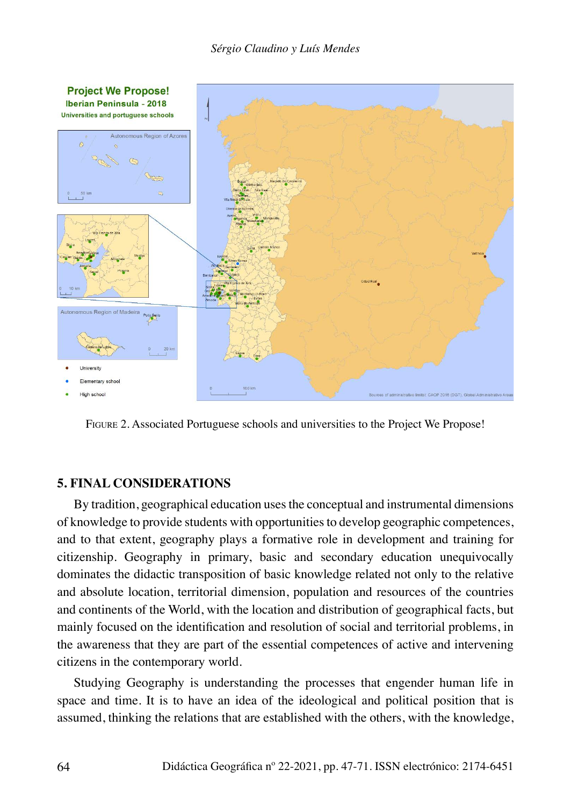

Figure 2. Associated Portuguese schools and universities to the Project We Propose!

#### **5. FINAL CONSIDERATIONS**

By tradition, geographical education uses the conceptual and instrumental dimensions of knowledge to provide students with opportunities to develop geographic competences, and to that extent, geography plays a formative role in development and training for citizenship. Geography in primary, basic and secondary education unequivocally dominates the didactic transposition of basic knowledge related not only to the relative and absolute location, territorial dimension, population and resources of the countries and continents of the World, with the location and distribution of geographical facts, but mainly focused on the identification and resolution of social and territorial problems, in the awareness that they are part of the essential competences of active and intervening citizens in the contemporary world.

Studying Geography is understanding the processes that engender human life in space and time. It is to have an idea of the ideological and political position that is assumed, thinking the relations that are established with the others, with the knowledge,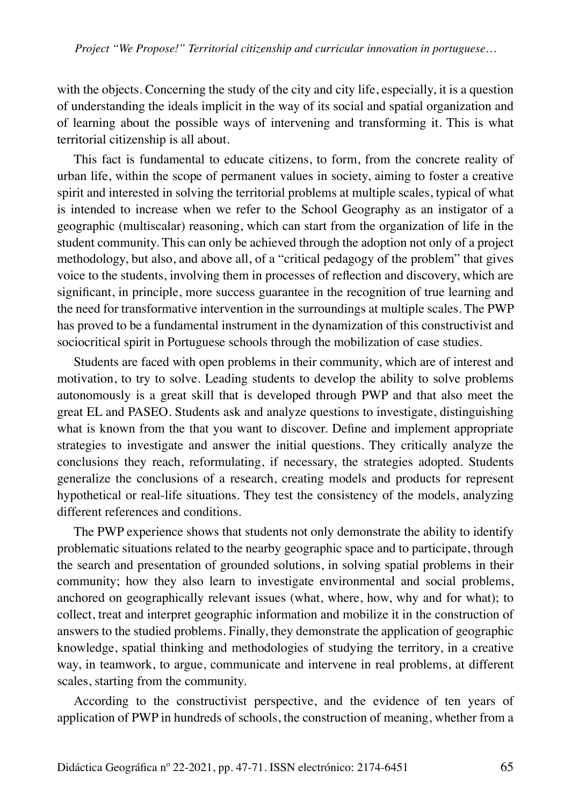with the objects. Concerning the study of the city and city life, especially, it is a question of understanding the ideals implicit in the way of its social and spatial organization and of learning about the possible ways of intervening and transforming it. This is what territorial citizenship is all about.

This fact is fundamental to educate citizens, to form, from the concrete reality of urban life, within the scope of permanent values in society, aiming to foster a creative spirit and interested in solving the territorial problems at multiple scales, typical of what is intended to increase when we refer to the School Geography as an instigator of a geographic (multiscalar) reasoning, which can start from the organization of life in the student community. This can only be achieved through the adoption not only of a project methodology, but also, and above all, of a "critical pedagogy of the problem" that gives voice to the students, involving them in processes of reflection and discovery, which are significant, in principle, more success guarantee in the recognition of true learning and the need for transformative intervention in the surroundings at multiple scales. The PWP has proved to be a fundamental instrument in the dynamization of this constructivist and sociocritical spirit in Portuguese schools through the mobilization of case studies.

Students are faced with open problems in their community, which are of interest and motivation, to try to solve. Leading students to develop the ability to solve problems autonomously is a great skill that is developed through PWP and that also meet the great EL and PASEO. Students ask and analyze questions to investigate, distinguishing what is known from the that you want to discover. Define and implement appropriate strategies to investigate and answer the initial questions. They critically analyze the conclusions they reach, reformulating, if necessary, the strategies adopted. Students generalize the conclusions of a research, creating models and products for represent hypothetical or real-life situations. They test the consistency of the models, analyzing different references and conditions.

The PWP experience shows that students not only demonstrate the ability to identify problematic situations related to the nearby geographic space and to participate, through the search and presentation of grounded solutions, in solving spatial problems in their community; how they also learn to investigate environmental and social problems, anchored on geographically relevant issues (what, where, how, why and for what); to collect, treat and interpret geographic information and mobilize it in the construction of answers to the studied problems. Finally, they demonstrate the application of geographic knowledge, spatial thinking and methodologies of studying the territory, in a creative way, in teamwork, to argue, communicate and intervene in real problems, at different scales, starting from the community.

According to the constructivist perspective, and the evidence of ten years of application of PWP in hundreds of schools, the construction of meaning, whether from a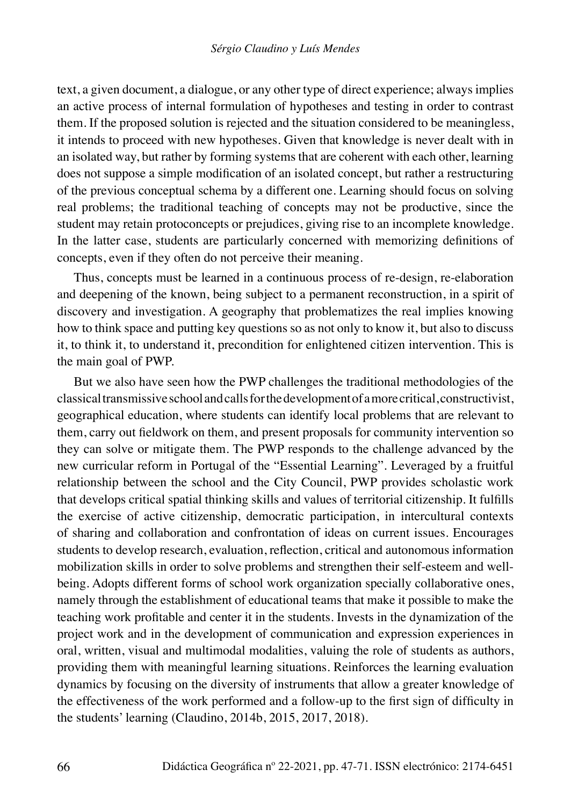text, a given document, a dialogue, or any other type of direct experience; always implies an active process of internal formulation of hypotheses and testing in order to contrast them. If the proposed solution is rejected and the situation considered to be meaningless, it intends to proceed with new hypotheses. Given that knowledge is never dealt with in an isolated way, but rather by forming systems that are coherent with each other, learning does not suppose a simple modification of an isolated concept, but rather a restructuring of the previous conceptual schema by a different one. Learning should focus on solving real problems; the traditional teaching of concepts may not be productive, since the student may retain protoconcepts or prejudices, giving rise to an incomplete knowledge. In the latter case, students are particularly concerned with memorizing definitions of concepts, even if they often do not perceive their meaning.

Thus, concepts must be learned in a continuous process of re-design, re-elaboration and deepening of the known, being subject to a permanent reconstruction, in a spirit of discovery and investigation. A geography that problematizes the real implies knowing how to think space and putting key questions so as not only to know it, but also to discuss it, to think it, to understand it, precondition for enlightened citizen intervention. This is the main goal of PWP.

But we also have seen how the PWP challenges the traditional methodologies of the classical transmissive school and calls for the development of a more critical, constructivist, geographical education, where students can identify local problems that are relevant to them, carry out fieldwork on them, and present proposals for community intervention so they can solve or mitigate them. The PWP responds to the challenge advanced by the new curricular reform in Portugal of the "Essential Learning". Leveraged by a fruitful relationship between the school and the City Council, PWP provides scholastic work that develops critical spatial thinking skills and values of territorial citizenship. It fulfills the exercise of active citizenship, democratic participation, in intercultural contexts of sharing and collaboration and confrontation of ideas on current issues. Encourages students to develop research, evaluation, reflection, critical and autonomous information mobilization skills in order to solve problems and strengthen their self-esteem and wellbeing. Adopts different forms of school work organization specially collaborative ones, namely through the establishment of educational teams that make it possible to make the teaching work profitable and center it in the students. Invests in the dynamization of the project work and in the development of communication and expression experiences in oral, written, visual and multimodal modalities, valuing the role of students as authors, providing them with meaningful learning situations. Reinforces the learning evaluation dynamics by focusing on the diversity of instruments that allow a greater knowledge of the effectiveness of the work performed and a follow-up to the first sign of difficulty in the students' learning (Claudino, 2014b, 2015, 2017, 2018).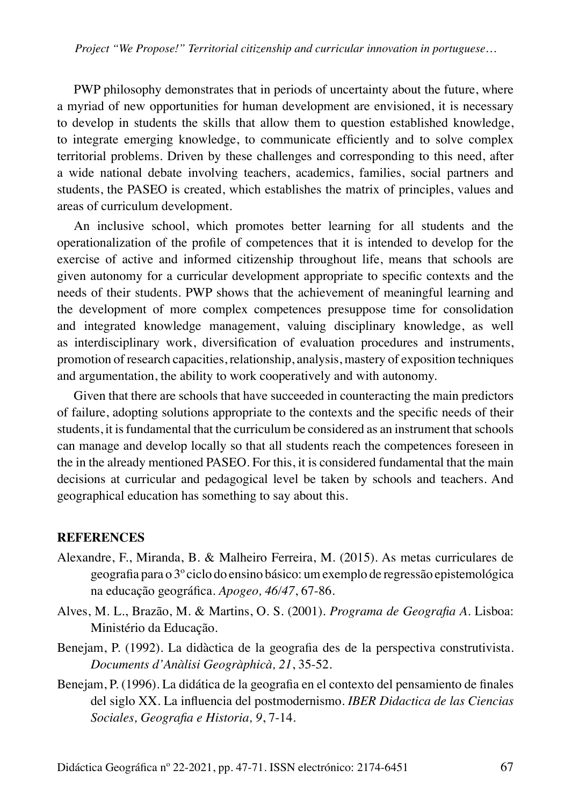PWP philosophy demonstrates that in periods of uncertainty about the future, where a myriad of new opportunities for human development are envisioned, it is necessary to develop in students the skills that allow them to question established knowledge, to integrate emerging knowledge, to communicate efficiently and to solve complex territorial problems. Driven by these challenges and corresponding to this need, after a wide national debate involving teachers, academics, families, social partners and students, the PASEO is created, which establishes the matrix of principles, values and areas of curriculum development.

An inclusive school, which promotes better learning for all students and the operationalization of the profile of competences that it is intended to develop for the exercise of active and informed citizenship throughout life, means that schools are given autonomy for a curricular development appropriate to specific contexts and the needs of their students. PWP shows that the achievement of meaningful learning and the development of more complex competences presuppose time for consolidation and integrated knowledge management, valuing disciplinary knowledge, as well as interdisciplinary work, diversification of evaluation procedures and instruments, promotion of research capacities, relationship, analysis, mastery of exposition techniques and argumentation, the ability to work cooperatively and with autonomy.

Given that there are schools that have succeeded in counteracting the main predictors of failure, adopting solutions appropriate to the contexts and the specific needs of their students, it is fundamental that the curriculum be considered as an instrument that schools can manage and develop locally so that all students reach the competences foreseen in the in the already mentioned PASEO. For this, it is considered fundamental that the main decisions at curricular and pedagogical level be taken by schools and teachers. And geographical education has something to say about this.

#### **REFERENCES**

- Alexandre, F., Miranda, B. & Malheiro Ferreira, M. (2015). As metas curriculares de geografia para o 3º ciclo do ensino básico: um exemplo de regressão epistemológica na educação geográfica. *Apogeo, 46/47*, 67-86.
- Alves, M. L., Brazão, M. & Martins, O. S. (2001). *Programa de Geografia A*. Lisboa: Ministério da Educação.
- Benejam, P. (1992). La didàctica de la geografia des de la perspectiva construtivista. *Documents d'Anàlisi Geogràphicà, 21*, 35-52.
- Benejam, P. (1996). La didática de la geografia en el contexto del pensamiento de finales del siglo XX. La influencia del postmodernismo. *IBER Didactica de las Ciencias Sociales, Geografia e Historia, 9*, 7-14.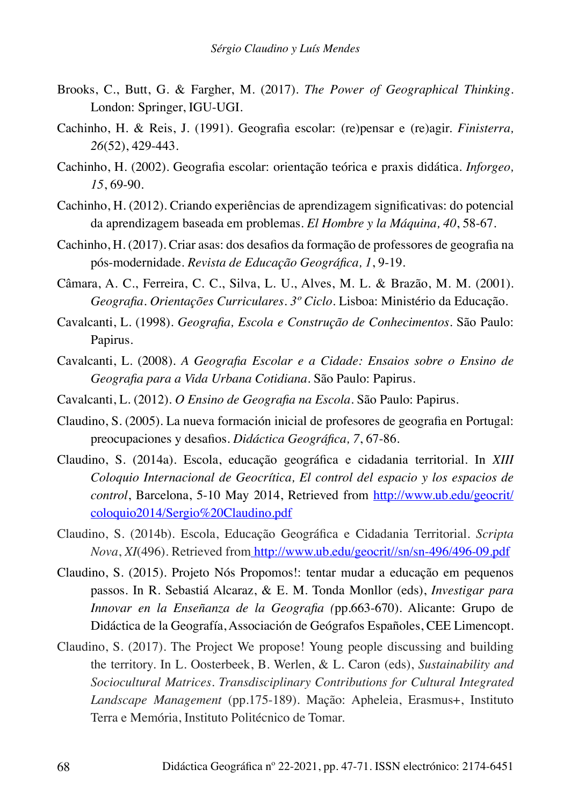- Brooks, C., Butt, G. & Fargher, M. (2017). *The Power of Geographical Thinking.* London: Springer, IGU-UGI.
- Cachinho, H. & Reis, J. (1991). Geografia escolar: (re)pensar e (re)agir. *Finisterra, 26*(52), 429-443.
- Cachinho, H. (2002). Geografia escolar: orientação teórica e praxis didática. *Inforgeo, 15*, 69-90.
- Cachinho, H. (2012). Criando experiências de aprendizagem significativas: do potencial da aprendizagem baseada em problemas. *El Hombre y la Máquina, 40*, 58-67.
- Cachinho, H. (2017). Criar asas: dos desafios da formação de professores de geografia na pós-modernidade. *Revista de Educação Geográfica, 1*, 9-19.
- Câmara, A. C., Ferreira, C. C., Silva, L. U., Alves, M. L. & Brazão, M. M. (2001). *Geografia. Orientações Curriculares. 3º Ciclo*. Lisboa: Ministério da Educação.
- Cavalcanti, L. (1998). *Geografia, Escola e Construção de Conhecimentos*. São Paulo: Papirus.
- Cavalcanti, L. (2008). *A Geografia Escolar e a Cidade: Ensaios sobre o Ensino de Geografia para a Vida Urbana Cotidiana.* São Paulo: Papirus.
- Cavalcanti, L. (2012). *O Ensino de Geografia na Escola.* São Paulo: Papirus.
- Claudino, S. (2005). La nueva formación inicial de profesores de geografia en Portugal: preocupaciones y desafios. *Didáctica Geográfica, 7*, 67-86.
- Claudino, S. (2014a). Escola, educação geográfica e cidadania territorial. In *XIII Coloquio Internacional de Geocrítica, El control del espacio y los espacios de control*, Barcelona, 5-10 May 2014, Retrieved from [http://www.ub.edu/geocrit/](http://www.ub.edu/geocrit/coloquio2014/Sergio%20Claudino.pdf) [coloquio2014/Sergio%20Claudino.pdf](http://www.ub.edu/geocrit/coloquio2014/Sergio%20Claudino.pdf)
- Claudino, S. (2014b). Escola, Educação Geográfica e Cidadania Territorial. *Scripta Nova*, *XI*(496). Retrieved from [http://www.ub.edu/geocrit//sn/sn-496/496-09.pdf](http://www.ub.edu/geocrit/sn/sn-496/496-09.pdf)
- Claudino, S. (2015). Projeto Nós Propomos!: tentar mudar a educação em pequenos passos. In R. Sebastiá Alcaraz, & E. M. Tonda Monllor (eds), *Investigar para Innovar en la Enseñanza de la Geografia (*pp.663-670). Alicante: Grupo de Didáctica de la Geografía, Associación de Geógrafos Españoles, CEE Limencopt.
- Claudino, S. (2017). The Project We propose! Young people discussing and building the territory. In L. Oosterbeek, B. Werlen, & L. Caron (eds), *Sustainability and Sociocultural Matrices. Transdisciplinary Contributions for Cultural Integrated Landscape Management* (pp.175-189). Mação: Apheleia, Erasmus+, Instituto Terra e Memória, Instituto Politécnico de Tomar.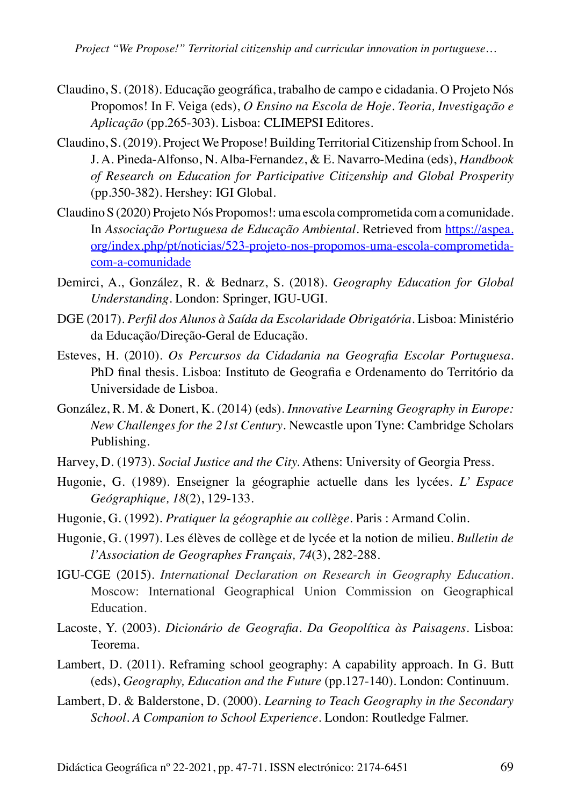- Claudino, S. (2018). Educação geográfica, trabalho de campo e cidadania. O Projeto Nós Propomos! In F. Veiga (eds), *O Ensino na Escola de Hoje. Teoria, Investigação e Aplicação* (pp.265-303). Lisboa: CLIMEPSI Editores.
- Claudino, S. (2019). Project We Propose! Building Territorial Citizenship from School. In J. A. Pineda-Alfonso, N. Alba-Fernandez, & E. Navarro-Medina (eds), *Handbook of Research on Education for Participative Citizenship and Global Prosperity*  (pp.350-382). Hershey: IGI Global.
- Claudino S (2020) Projeto Nós Propomos!: uma escola comprometida com a comunidade. In *Associação Portuguesa de Educação Ambiental*. Retrieved from [https://aspea.](https://aspea.org/index.php/pt/noticias/523-projeto-nos-propomos-uma-escola-comprometida-com-a-comunidade) [org/index.php/pt/noticias/523-projeto-nos-propomos-uma-escola-comprometida](https://aspea.org/index.php/pt/noticias/523-projeto-nos-propomos-uma-escola-comprometida-com-a-comunidade)[com-a-comunidade](https://aspea.org/index.php/pt/noticias/523-projeto-nos-propomos-uma-escola-comprometida-com-a-comunidade)
- Demirci, A., González, R. & Bednarz, S. (2018). *Geography Education for Global Understanding.* London: Springer, IGU-UGI.
- DGE (2017). *Perfil dos Alunos à Saída da Escolaridade Obrigatória*. Lisboa: Ministério da Educação/Direção-Geral de Educação.
- Esteves, H. (2010). *Os Percursos da Cidadania na Geografia Escolar Portuguesa*. PhD final thesis. Lisboa: Instituto de Geografia e Ordenamento do Território da Universidade de Lisboa.
- González, R. M. & Donert, K. (2014) (eds). *Innovative Learning Geography in Europe: New Challenges for the 21st Century*. Newcastle upon Tyne: Cambridge Scholars Publishing.
- Harvey, D. (1973). *Social Justice and the City.* Athens: University of Georgia Press.
- Hugonie, G. (1989). Enseigner la géographie actuelle dans les lycées. *L' Espace Geógraphique, 18*(2), 129-133.
- Hugonie, G. (1992). *Pratiquer la géographie au collège*. Paris : Armand Colin.
- Hugonie, G. (1997). Les élèves de collège et de lycée et la notion de milieu. *Bulletin de l'Association de Geographes Français, 74*(3), 282-288.
- IGU-CGE (2015). *International Declaration on Research in Geography Education.*  Moscow: International Geographical Union Commission on Geographical Education.
- Lacoste, Y. (2003). *Dicionário de Geografia. Da Geopolítica às Paisagens*. Lisboa: Teorema.
- Lambert, D. (2011). Reframing school geography: A capability approach. In G. Butt (eds), *Geography, Education and the Future* (pp.127-140). London: Continuum.
- Lambert, D. & Balderstone, D. (2000). *Learning to Teach Geography in the Secondary School. A Companion to School Experience*. London: Routledge Falmer.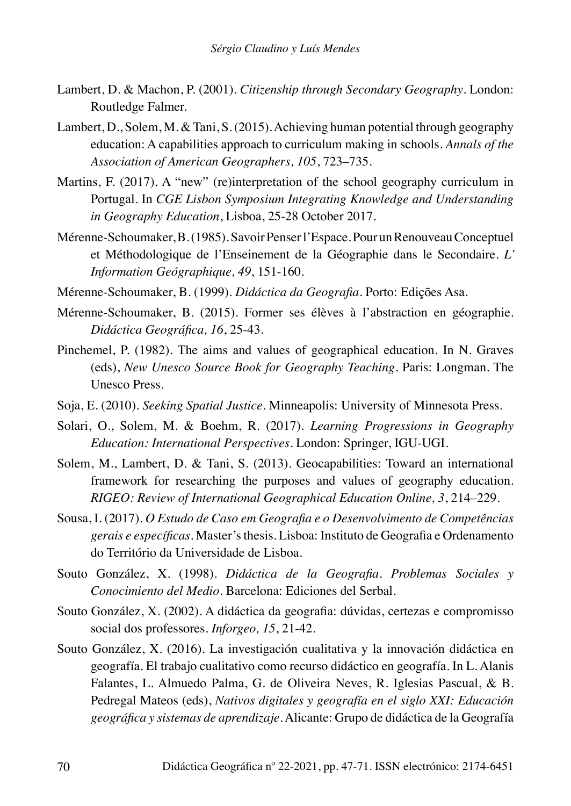- Lambert, D. & Machon, P. (2001). *Citizenship through Secondary Geography*. London: Routledge Falmer.
- Lambert, D., Solem, M. & Tani, S. (2015). Achieving human potential through geography education: A capabilities approach to curriculum making in schools. *Annals of the Association of American Geographers, 105*, 723–735.
- Martins, F. (2017). A "new" (re)interpretation of the school geography curriculum in Portugal. In *CGE Lisbon Symposium Integrating Knowledge and Understanding in Geography Education*, Lisboa, 25-28 October 2017.
- Mérenne-Schoumaker, B. (1985). Savoir Penser l'Espace. Pour un Renouveau Conceptuel et Méthodologique de l'Enseinement de la Géographie dans le Secondaire. *L' Information Geógraphique, 49*, 151-160.
- Mérenne-Schoumaker, B. (1999). *Didáctica da Geografia.* Porto: Edições Asa.
- Mérenne-Schoumaker, B. (2015). Former ses élèves à l'abstraction en géographie. *Didáctica Geográfica, 16*, 25-43.
- Pinchemel, P. (1982). The aims and values of geographical education. In N. Graves (eds), *New Unesco Source Book for Geography Teaching*. Paris: Longman. The Unesco Press.
- Soja, E. (2010). *Seeking Spatial Justice*. Minneapolis: University of Minnesota Press.
- Solari, O., Solem, M. & Boehm, R. (2017). *Learning Progressions in Geography Education: International Perspectives.* London: Springer, IGU-UGI.
- Solem, M., Lambert, D. & Tani, S. (2013). Geocapabilities: Toward an international framework for researching the purposes and values of geography education. *RIGEO: Review of International Geographical Education Online, 3*, 214–229.
- Sousa, I. (2017). *O Estudo de Caso em Geografia e o Desenvolvimento de Competências gerais e específicas*. Master's thesis. Lisboa: Instituto de Geografia e Ordenamento do Território da Universidade de Lisboa.
- Souto González, X. (1998). *Didáctica de la Geografia. Problemas Sociales y Conocimiento del Medio*. Barcelona: Ediciones del Serbal.
- Souto González, X. (2002). A didáctica da geografia: dúvidas, certezas e compromisso social dos professores. *Inforgeo, 15*, 21-42.
- Souto González, X. (2016). La investigación cualitativa y la innovación didáctica en geografía. El trabajo cualitativo como recurso didáctico en geografía. In L. Alanis Falantes, L. Almuedo Palma, G. de Oliveira Neves, R. Iglesias Pascual, & B. Pedregal Mateos (eds), *Nativos digitales y geografía en el siglo XXI: Educación geográfica y sistemas de aprendizaje.* Alicante: Grupo de didáctica de la Geografía